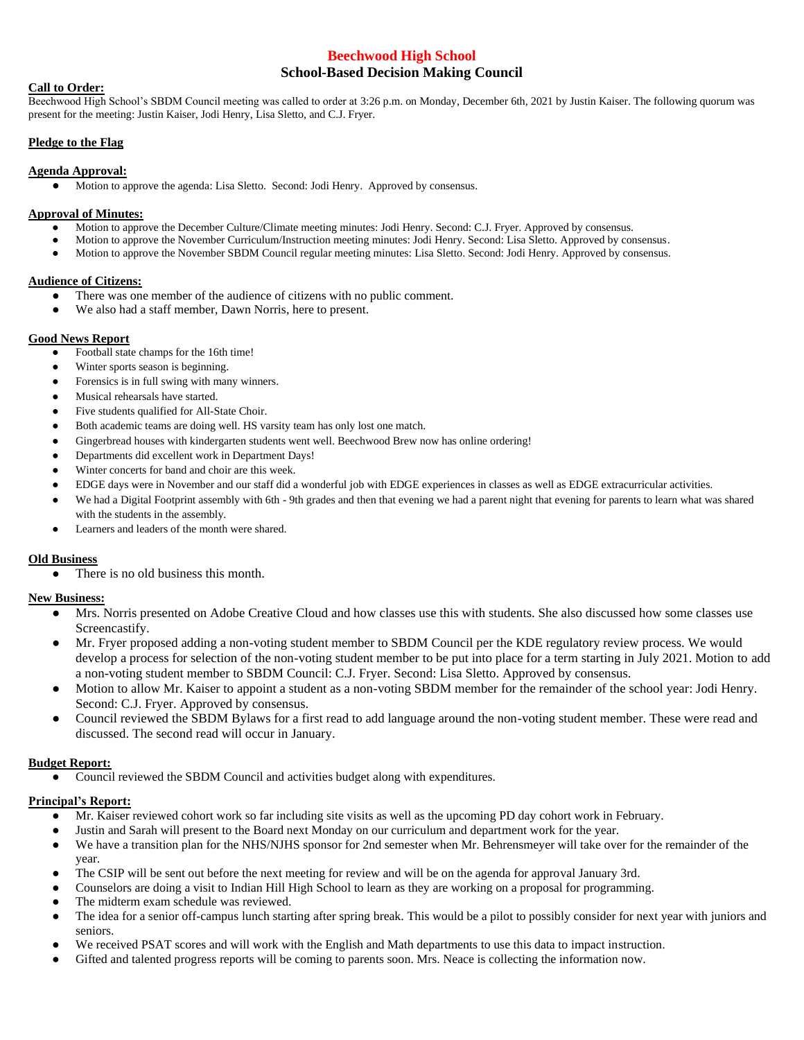# **Beechwood High School School-Based Decision Making Council**

### **Call to Order:**

Beechwood High School's SBDM Council meeting was called to order at 3:26 p.m. on Monday, December 6th, 2021 by Justin Kaiser. The following quorum was present for the meeting: Justin Kaiser, Jodi Henry, Lisa Sletto, and C.J. Fryer.

### **Pledge to the Flag**

### **Agenda Approval:**

● Motion to approve the agenda: Lisa Sletto. Second: Jodi Henry. Approved by consensus.

### **Approval of Minutes:**

- Motion to approve the December Culture/Climate meeting minutes: Jodi Henry. Second: C.J. Fryer. Approved by consensus.
- Motion to approve the November Curriculum/Instruction meeting minutes: Jodi Henry. Second: Lisa Sletto. Approved by consensus.
- Motion to approve the November SBDM Council regular meeting minutes: Lisa Sletto. Second: Jodi Henry. Approved by consensus.

### **Audience of Citizens:**

- There was one member of the audience of citizens with no public comment.
- We also had a staff member, Dawn Norris, here to present.

### **Good News Report**

- Football state champs for the 16th time!
- Winter sports season is beginning.
- Forensics is in full swing with many winners.
- Musical rehearsals have started.
- Five students qualified for All-State Choir.
- Both academic teams are doing well. HS varsity team has only lost one match.
- Gingerbread houses with kindergarten students went well. Beechwood Brew now has online ordering!
- Departments did excellent work in Department Days!
- Winter concerts for band and choir are this week.
- EDGE days were in November and our staff did a wonderful job with EDGE experiences in classes as well as EDGE extracurricular activities.
- We had a Digital Footprint assembly with 6th 9th grades and then that evening we had a parent night that evening for parents to learn what was shared with the students in the assembly.
- Learners and leaders of the month were shared.

### **Old Business**

• There is no old business this month.

## **New Business:**

- Mrs. Norris presented on Adobe Creative Cloud and how classes use this with students. She also discussed how some classes use Screencastify.
- Mr. Fryer proposed adding a non-voting student member to SBDM Council per the KDE regulatory review process. We would develop a process for selection of the non-voting student member to be put into place for a term starting in July 2021. Motion to add a non-voting student member to SBDM Council: C.J. Fryer. Second: Lisa Sletto. Approved by consensus.
- Motion to allow Mr. Kaiser to appoint a student as a non-voting SBDM member for the remainder of the school year: Jodi Henry. Second: C.J. Fryer. Approved by consensus.
- Council reviewed the SBDM Bylaws for a first read to add language around the non-voting student member. These were read and discussed. The second read will occur in January.

### **Budget Report:**

Council reviewed the SBDM Council and activities budget along with expenditures.

### **Principal's Report:**

- Mr. Kaiser reviewed cohort work so far including site visits as well as the upcoming PD day cohort work in February.
- Justin and Sarah will present to the Board next Monday on our curriculum and department work for the year.
- We have a transition plan for the NHS/NJHS sponsor for 2nd semester when Mr. Behrensmeyer will take over for the remainder of the year.
- The CSIP will be sent out before the next meeting for review and will be on the agenda for approval January 3rd.
- Counselors are doing a visit to Indian Hill High School to learn as they are working on a proposal for programming.
- The midterm exam schedule was reviewed.
- The idea for a senior off-campus lunch starting after spring break. This would be a pilot to possibly consider for next year with juniors and seniors.
- We received PSAT scores and will work with the English and Math departments to use this data to impact instruction.
- Gifted and talented progress reports will be coming to parents soon. Mrs. Neace is collecting the information now.